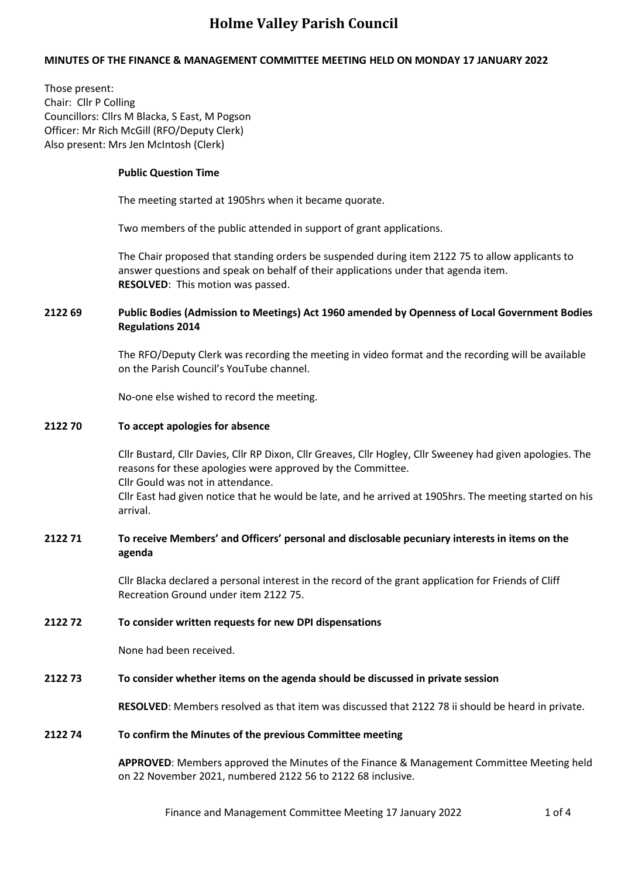# **MINUTES OF THE FINANCE & MANAGEMENT COMMITTEE MEETING HELD ON MONDAY 17 JANUARY 2022**

Those present: Chair: Cllr P Colling Councillors: Cllrs M Blacka, S East, M Pogson Officer: Mr Rich McGill (RFO/Deputy Clerk) Also present: Mrs Jen McIntosh (Clerk)

### **Public Question Time**

The meeting started at 1905hrs when it became quorate.

Two members of the public attended in support of grant applications.

The Chair proposed that standing orders be suspended during item 2122 75 to allow applicants to answer questions and speak on behalf of their applications under that agenda item. **RESOLVED**: This motion was passed.

# **2122 69 Public Bodies (Admission to Meetings) Act 1960 amended by Openness of Local Government Bodies Regulations 2014**

The RFO/Deputy Clerk was recording the meeting in video format and the recording will be available on the Parish Council's YouTube channel.

No-one else wished to record the meeting.

### **2122 70 To accept apologies for absence**

Cllr Bustard, Cllr Davies, Cllr RP Dixon, Cllr Greaves, Cllr Hogley, Cllr Sweeney had given apologies. The reasons for these apologies were approved by the Committee. Cllr Gould was not in attendance. Cllr East had given notice that he would be late, and he arrived at 1905hrs. The meeting started on his

arrival.

# **2122 71 To receive Members' and Officers' personal and disclosable pecuniary interests in items on the agenda**

Cllr Blacka declared a personal interest in the record of the grant application for Friends of Cliff Recreation Ground under item 2122 75.

### **2122 72 To consider written requests for new DPI dispensations**

None had been received.

### **2122 73 To consider whether items on the agenda should be discussed in private session**

**RESOLVED**: Members resolved as that item was discussed that 2122 78 ii should be heard in private.

# **2122 74 To confirm the Minutes of the previous Committee meeting**

**APPROVED**: Members approved the Minutes of the Finance & Management Committee Meeting held on 22 November 2021, numbered 2122 56 to 2122 68 inclusive.

Finance and Management Committee Meeting 17 January 2022 1 0f 4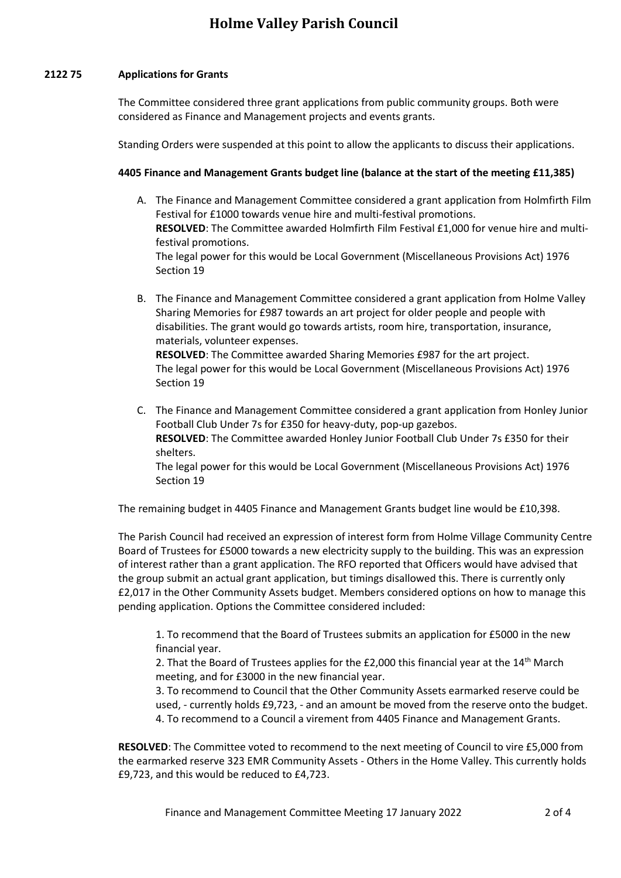### **2122 75 Applications for Grants**

The Committee considered three grant applications from public community groups. Both were considered as Finance and Management projects and events grants.

Standing Orders were suspended at this point to allow the applicants to discuss their applications.

#### **4405 Finance and Management Grants budget line (balance at the start of the meeting £11,385)**

- A. The Finance and Management Committee considered a grant application from Holmfirth Film Festival for £1000 towards venue hire and multi-festival promotions. **RESOLVED**: The Committee awarded Holmfirth Film Festival £1,000 for venue hire and multifestival promotions. The legal power for this would be Local Government (Miscellaneous Provisions Act) 1976 Section 19
- B. The Finance and Management Committee considered a grant application from Holme Valley Sharing Memories for £987 towards an art project for older people and people with disabilities. The grant would go towards artists, room hire, transportation, insurance, materials, volunteer expenses.

**RESOLVED**: The Committee awarded Sharing Memories £987 for the art project. The legal power for this would be Local Government (Miscellaneous Provisions Act) 1976 Section 19

C. The Finance and Management Committee considered a grant application from Honley Junior Football Club Under 7s for £350 for heavy-duty, pop-up gazebos. **RESOLVED**: The Committee awarded Honley Junior Football Club Under 7s £350 for their shelters. The legal power for this would be Local Government (Miscellaneous Provisions Act) 1976

Section 19

The remaining budget in 4405 Finance and Management Grants budget line would be £10,398.

The Parish Council had received an expression of interest form from Holme Village Community Centre Board of Trustees for £5000 towards a new electricity supply to the building. This was an expression of interest rather than a grant application. The RFO reported that Officers would have advised that the group submit an actual grant application, but timings disallowed this. There is currently only £2,017 in the Other Community Assets budget. Members considered options on how to manage this pending application. Options the Committee considered included:

1. To recommend that the Board of Trustees submits an application for £5000 in the new financial year.

2. That the Board of Trustees applies for the  $E2,000$  this financial year at the  $14<sup>th</sup>$  March meeting, and for £3000 in the new financial year.

3. To recommend to Council that the Other Community Assets earmarked reserve could be used, - currently holds £9,723, - and an amount be moved from the reserve onto the budget. 4. To recommend to a Council a virement from 4405 Finance and Management Grants.

**RESOLVED**: The Committee voted to recommend to the next meeting of Council to vire £5,000 from the earmarked reserve 323 EMR Community Assets - Others in the Home Valley. This currently holds £9,723, and this would be reduced to £4,723.

Finance and Management Committee Meeting 17 January 2022 2014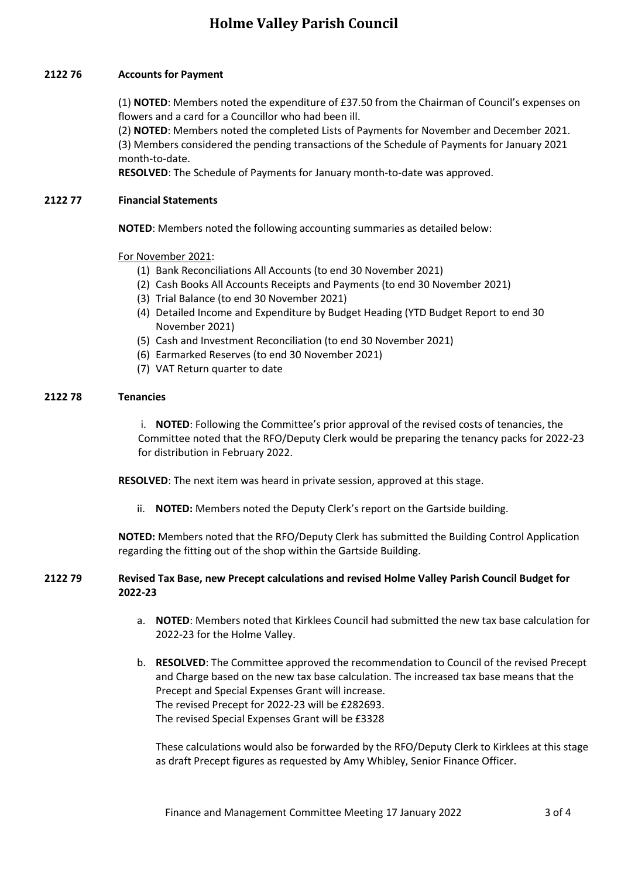# **2122 76 Accounts for Payment**

(1) **NOTED**: Members noted the expenditure of £37.50 from the Chairman of Council's expenses on flowers and a card for a Councillor who had been ill.

(2) **NOTED**: Members noted the completed Lists of Payments for November and December 2021. (3) Members considered the pending transactions of the Schedule of Payments for January 2021 month-to-date.

**RESOLVED**: The Schedule of Payments for January month-to-date was approved.

# **2122 77 Financial Statements**

**NOTED**: Members noted the following accounting summaries as detailed below:

# For November 2021:

- (1) Bank Reconciliations All Accounts (to end 30 November 2021)
- (2) Cash Books All Accounts Receipts and Payments (to end 30 November 2021)
- (3) Trial Balance (to end 30 November 2021)
- (4) Detailed Income and Expenditure by Budget Heading (YTD Budget Report to end 30 November 2021)
- (5) Cash and Investment Reconciliation (to end 30 November 2021)
- (6) Earmarked Reserves (to end 30 November 2021)
- (7) VAT Return quarter to date

### **2122 78 Tenancies**

i. **NOTED**: Following the Committee's prior approval of the revised costs of tenancies, the Committee noted that the RFO/Deputy Clerk would be preparing the tenancy packs for 2022-23 for distribution in February 2022.

**RESOLVED**: The next item was heard in private session, approved at this stage.

ii. **NOTED:** Members noted the Deputy Clerk's report on the Gartside building.

**NOTED:** Members noted that the RFO/Deputy Clerk has submitted the Building Control Application regarding the fitting out of the shop within the Gartside Building.

# **2122 79 Revised Tax Base, new Precept calculations and revised Holme Valley Parish Council Budget for 2022-23**

- a. **NOTED**: Members noted that Kirklees Council had submitted the new tax base calculation for 2022-23 for the Holme Valley.
- b. **RESOLVED**: The Committee approved the recommendation to Council of the revised Precept and Charge based on the new tax base calculation. The increased tax base means that the Precept and Special Expenses Grant will increase. The revised Precept for 2022-23 will be £282693. The revised Special Expenses Grant will be £3328

These calculations would also be forwarded by the RFO/Deputy Clerk to Kirklees at this stage as draft Precept figures as requested by Amy Whibley, Senior Finance Officer.